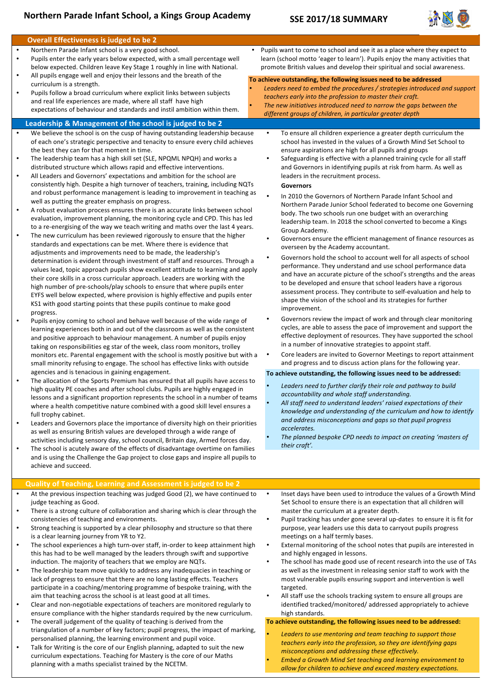# **Northern Parade Infant School, a Kings Group Academy**

## **SSE 2017/18 SUMMARY**



## **Overall Effectiveness is judged to be 2**

- Northern Parade Infant school is a very good school. Pupils enter the early years below expected, with a small percentage well below expected. Children leave Key Stage 1 roughly in line with National.
- All pupils engage well and enjoy their lessons and the breath of the curriculum is a strength.
- Pupils follow a broad curriculum where explicit links between subjects and real life experiences are made, where all staff have high expectations of behaviour and standards and instil ambition within them.

#### Leadership & Management of the school is judged to be 2

- We believe the school is on the cusp of having outstanding leadership because of each one's strategic perspective and tenacity to ensure every child achieves the best they can for that moment in time.
- The leadership team has a high skill set (SLE, NPQML NPQH) and works a distributed structure which allows rapid and effective interventions.
- All Leaders and Governors' expectations and ambition for the school are consistently high. Despite a high turnover of teachers, training, including NQTs and robust performance management is leading to improvement in teaching as well as putting the greater emphasis on progress.
- A robust evaluation process ensures there is an accurate links between school evaluation, improvement planning, the monitoring cycle and CPD. This has led to a re-energising of the way we teach writing and maths over the last 4 years.
- The new curriculum has been reviewed rigorously to ensure that the higher standards and expectations can be met. Where there is evidence that adjustments and improvements need to be made, the leadership's determination is evident through investment of staff and resources. Through a values lead, topic approach pupils show excellent attitude to learning and apply their core skills in a cross curricular approach. Leaders are working with the high number of pre-schools/play schools to ensure that where pupils enter EYFS well below expected, where provision is highly effective and pupils enter KS1 with good starting points that these pupils continue to make good progress.
- Pupils enjoy coming to school and behave well because of the wide range of learning experiences both in and out of the classroom as well as the consistent and positive approach to behaviour management. A number of pupils enjoy taking on responsibilities eg star of the week, class room monitors, trolley monitors etc. Parental engagement with the school is mostly positive but with a small minority refusing to engage. The school has effective links with outside agencies and is tenacious in gaining engagement.
- The allocation of the Sports Premium has ensured that all pupils have access to high quality PE coaches and after school clubs. Pupils are highly engaged in lessons and a significant proportion represents the school in a number of teams where a health competitive nature combined with a good skill level ensures a full trophy cabinet.
- Leaders and Governors place the importance of diversity high on their priorities as well as ensuring British values are developed through a wide range of activities including sensory day, school council, Britain day, Armed forces day.
- The school is acutely aware of the effects of disadvantage overtime on families and is using the Challenge the Gap project to close gaps and inspire all pupils to achieve and succeed.

#### **Quality of Teaching, Learning and Assessment is judged to be 2**

- At the previous inspection teaching was judged Good (2), we have continued to judge teaching as Good.
- There is a strong culture of collaboration and sharing which is clear through the consistencies of teaching and environments.
- Strong teaching is supported by a clear philosophy and structure so that there is a clear learning journey from YR to Y2.
- The school experiences a high turn-over staff, in-order to keep attainment high this has had to be well managed by the leaders through swift and supportive induction. The majority of teachers that we employ are NQTs.
- The leadership team move quickly to address any inadequacies in teaching or lack of progress to ensure that there are no long lasting effects. Teachers participate in a coaching/mentoring programme of bespoke training, with the aim that teaching across the school is at least good at all times.
- Clear and non-negotiable expectations of teachers are monitored regularly to ensure compliance with the higher standards required by the new curriculum.
- The overall judgement of the quality of teaching is derived from the triangulation of a number of key factors; pupil progress, the impact of marking, personalised planning, the learning environment and pupil voice.
- Talk for Writing is the core of our English planning, adapted to suit the new curriculum expectations. Teaching for Mastery is the core of our Maths planning with a maths specialist trained by the NCETM.

Pupils want to come to school and see it as a place where they expect to learn (school motto 'eager to learn'). Pupils enjoy the many activities that promote British values and develop their spiritual and social awareness.

## To achieve outstanding, the following issues need to be addressed

- Leaders need to embed the procedures / strategies introduced and support teachers early into the profession to master their craft.
- The new initiatives introduced need to narrow the gaps between the
- different groups of children, in particular greater depth
	- To ensure all children experience a greater depth curriculum the school has invested in the values of a Growth Mind Set School to ensure aspirations are high for all pupils and groups
	- Safeguarding is effective with a planned training cycle for all staff and Governors in identifying pupils at risk from harm. As well as leaders in the recruitment process.

#### **Governors**

- In 2010 the Governors of Northern Parade Infant School and Northern Parade Junior School federated to become one Governing body. The two schools run one budget with an overarching leadership team. In 2018 the school converted to become a Kings Group Academy.
- Governors ensure the efficient management of finance resources as overseen by the Academy accountant.
- Governors hold the school to account well for all aspects of school performance. They understand and use school performance data and have an accurate picture of the school's strengths and the areas to be developed and ensure that school leaders have a rigorous assessment process. They contribute to self-evaluation and help to shape the vision of the school and its strategies for further improvement.
- Governors review the impact of work and through clear monitoring cycles, are able to assess the pace of improvement and support the effective deployment of resources. They have supported the school in a number of innovative strategies to appoint staff.
- Core leaders are invited to Governor Meetings to report attainment and progress and to discuss action plans for the following year.

### To achieve outstanding, the following issues need to be addressed:

- Leaders need to further clarify their role and pathway to build *accountability and whole staff understanding.*
- All staff need to understand leaders' raised expectations of their *knowledge and understanding of the curriculum and how to identify* and address misconceptions and agps so that pupil progress *accelerates.*
- The planned bespoke CPD needs to impact on creating 'masters of *their craft'.*
	- Inset days have been used to introduce the values of a Growth Mind Set School to ensure there is an expectation that all children will master the curriculum at a greater depth.
- Pupil tracking has under gone several up-dates to ensure it is fit for purpose, year leaders use this data to carryout pupils progress meetings on a half termly bases.
- External monitoring of the school notes that pupils are interested in and highly engaged in lessons.
- The school has made good use of recent research into the use of TAs as well as the investment in releasing senior staff to work with the most vulnerable pupils ensuring support and intervention is well targeted.
- All staff use the schools tracking system to ensure all groups are identified tracked/monitored/ addressed appropriately to achieve high standards.

#### To achieve outstanding, the following issues need to be addressed:

- Leaders to use mentoring and team teaching to support those *teachers early into the profession, so they are identifying gaps misconceptions and addressing these effectively.*
- *Embed a Growth Mind Set teaching and learning environment to allow for children to achieve and exceed mastery expectations.*